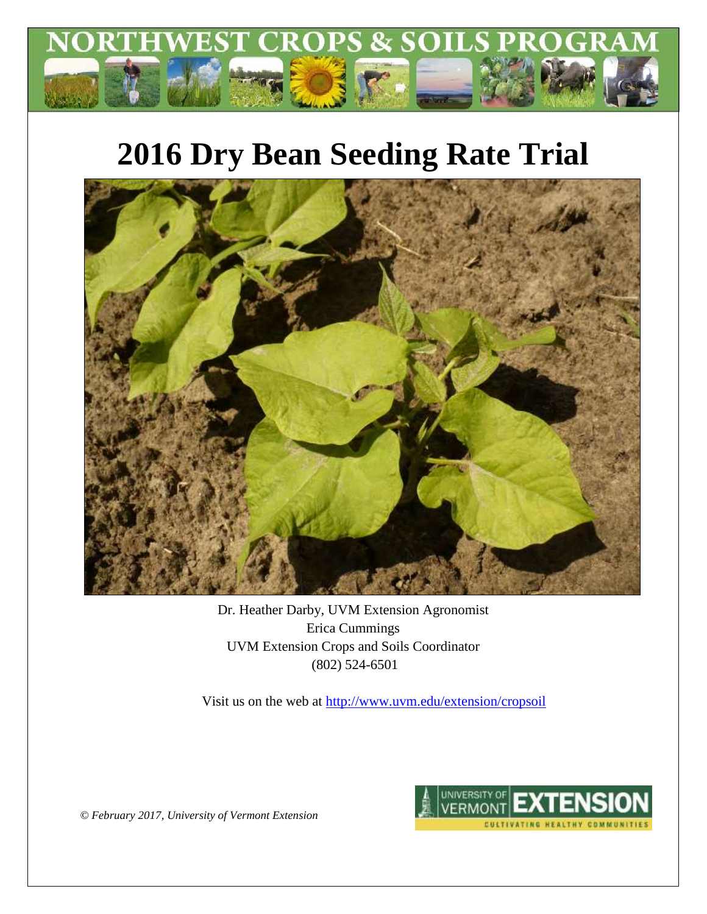

# **2016 Dry Bean Seeding Rate Trial**



Dr. Heather Darby, UVM Extension Agronomist Erica Cummings UVM Extension Crops and Soils Coordinator (802) 524-6501

Visit us on the web at<http://www.uvm.edu/extension/cropsoil>



*© February 2017, University of Vermont Extension*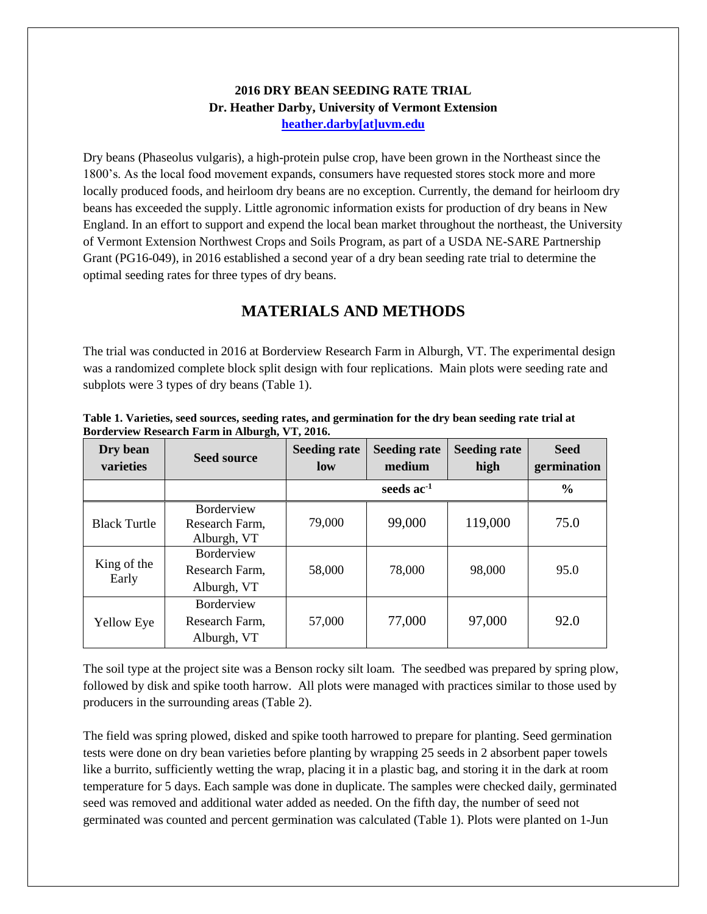#### **2016 DRY BEAN SEEDING RATE TRIAL Dr. Heather Darby, University of Vermont Extension [heather.darby\[at\]uvm.edu](mailto:hdarby@uvm.edu?subject=2012%20Winter%20Wheat%20Planting%20Date)**

Dry beans (Phaseolus vulgaris), a high-protein pulse crop, have been grown in the Northeast since the 1800's. As the local food movement expands, consumers have requested stores stock more and more locally produced foods, and heirloom dry beans are no exception. Currently, the demand for heirloom dry beans has exceeded the supply. Little agronomic information exists for production of dry beans in New England. In an effort to support and expend the local bean market throughout the northeast, the University of Vermont Extension Northwest Crops and Soils Program, as part of a USDA NE-SARE Partnership Grant (PG16-049), in 2016 established a second year of a dry bean seeding rate trial to determine the optimal seeding rates for three types of dry beans.

### **MATERIALS AND METHODS**

The trial was conducted in 2016 at Borderview Research Farm in Alburgh, VT. The experimental design was a randomized complete block split design with four replications. Main plots were seeding rate and subplots were 3 types of dry beans (Table 1).

| Dry bean<br>varieties | <b>Seed source</b>                                 | <b>Seeding rate</b><br>low | <b>Seeding rate</b><br>medium | <b>Seeding rate</b><br>high | <b>Seed</b><br>germination |
|-----------------------|----------------------------------------------------|----------------------------|-------------------------------|-----------------------------|----------------------------|
|                       |                                                    |                            | seeds $ac^{-1}$               |                             |                            |
| <b>Black Turtle</b>   | <b>Borderview</b><br>Research Farm,<br>Alburgh, VT | 79,000                     | 99,000                        | 119,000                     | 75.0                       |
| King of the<br>Early  | Borderview<br>Research Farm,<br>Alburgh, VT        | 58,000                     | 78,000                        | 98,000                      | 95.0                       |
| <b>Yellow Eye</b>     | Borderview<br>Research Farm,<br>Alburgh, VT        | 57,000                     | 77,000                        | 97,000                      | 92.0                       |

**Table 1. Varieties, seed sources, seeding rates, and germination for the dry bean seeding rate trial at Borderview Research Farm in Alburgh, VT, 2016.**

The soil type at the project site was a Benson rocky silt loam. The seedbed was prepared by spring plow, followed by disk and spike tooth harrow. All plots were managed with practices similar to those used by producers in the surrounding areas (Table 2).

The field was spring plowed, disked and spike tooth harrowed to prepare for planting. Seed germination tests were done on dry bean varieties before planting by wrapping 25 seeds in 2 absorbent paper towels like a burrito, sufficiently wetting the wrap, placing it in a plastic bag, and storing it in the dark at room temperature for 5 days. Each sample was done in duplicate. The samples were checked daily, germinated seed was removed and additional water added as needed. On the fifth day, the number of seed not germinated was counted and percent germination was calculated (Table 1). Plots were planted on 1-Jun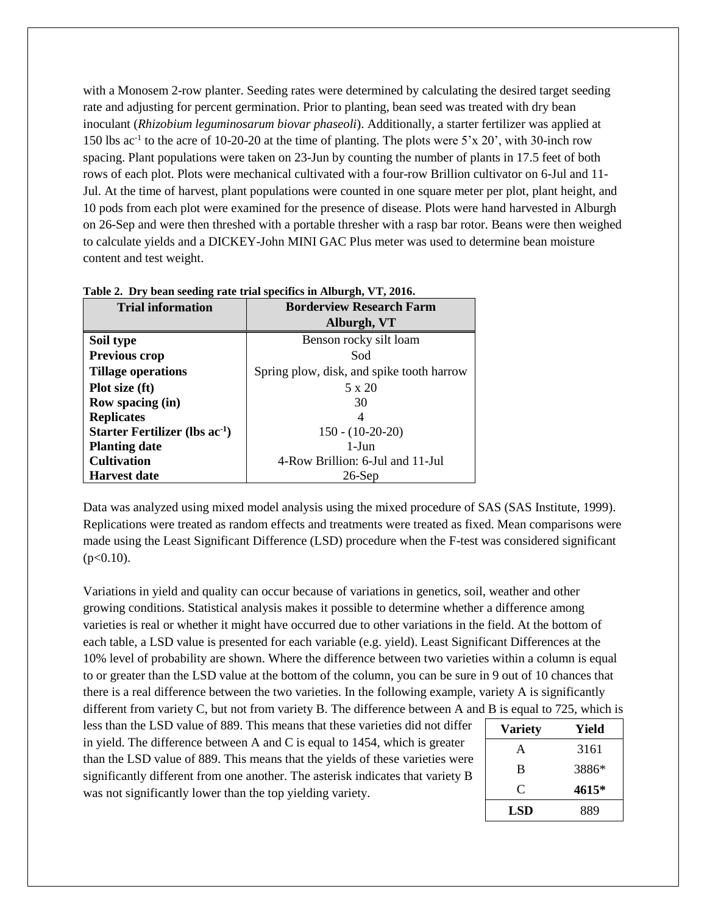with a Monosem 2-row planter. Seeding rates were determined by calculating the desired target seeding rate and adjusting for percent germination. Prior to planting, bean seed was treated with dry bean inoculant (*Rhizobium leguminosarum biovar phaseoli*). Additionally, a starter fertilizer was applied at 150 lbs ac<sup>-1</sup> to the acre of 10-20-20 at the time of planting. The plots were 5'x 20', with 30-inch row spacing. Plant populations were taken on 23-Jun by counting the number of plants in 17.5 feet of both rows of each plot. Plots were mechanical cultivated with a four-row Brillion cultivator on 6-Jul and 11- Jul. At the time of harvest, plant populations were counted in one square meter per plot, plant height, and 10 pods from each plot were examined for the presence of disease. Plots were hand harvested in Alburgh on 26-Sep and were then threshed with a portable thresher with a rasp bar rotor. Beans were then weighed to calculate yields and a DICKEY-John MINI GAC Plus meter was used to determine bean moisture content and test weight.

| o<br><b>Trial information</b>       | <b>Borderview Research Farm</b>           |  |  |  |
|-------------------------------------|-------------------------------------------|--|--|--|
|                                     | Alburgh, VT                               |  |  |  |
| Soil type                           | Benson rocky silt loam                    |  |  |  |
| <b>Previous crop</b>                | Sod                                       |  |  |  |
| <b>Tillage operations</b>           | Spring plow, disk, and spike tooth harrow |  |  |  |
| Plot size (ft)                      | 5 x 20                                    |  |  |  |
| <b>Row spacing (in)</b>             | 30                                        |  |  |  |
| <b>Replicates</b>                   | 4                                         |  |  |  |
| Starter Fertilizer (lbs $ac^{-1}$ ) | $150 - (10-20-20)$                        |  |  |  |
| <b>Planting date</b>                | $1-J$ un                                  |  |  |  |
| <b>Cultivation</b>                  | 4-Row Brillion: 6-Jul and 11-Jul          |  |  |  |
| <b>Harvest date</b>                 | $26$ -Sep                                 |  |  |  |

**Table 2. Dry bean seeding rate trial specifics in Alburgh, VT, 2016.**

Data was analyzed using mixed model analysis using the mixed procedure of SAS (SAS Institute, 1999). Replications were treated as random effects and treatments were treated as fixed. Mean comparisons were made using the Least Significant Difference (LSD) procedure when the F-test was considered significant  $(p<0.10)$ .

Variations in yield and quality can occur because of variations in genetics, soil, weather and other growing conditions. Statistical analysis makes it possible to determine whether a difference among varieties is real or whether it might have occurred due to other variations in the field. At the bottom of each table, a LSD value is presented for each variable (e.g. yield). Least Significant Differences at the 10% level of probability are shown. Where the difference between two varieties within a column is equal to or greater than the LSD value at the bottom of the column, you can be sure in 9 out of 10 chances that there is a real difference between the two varieties. In the following example, variety A is significantly different from variety C, but not from variety B. The difference between A and B is equal to 725, which is

less than the LSD value of 889. This means that these varieties did not differ in yield. The difference between A and C is equal to 1454, which is greater than the LSD value of 889. This means that the yields of these varieties were significantly different from one another. The asterisk indicates that variety B was not significantly lower than the top yielding variety.

| <b>Variety</b> | Yield |
|----------------|-------|
| A              | 3161  |
| B              | 3886* |
| C              | 4615* |
| <b>LSD</b>     | 889   |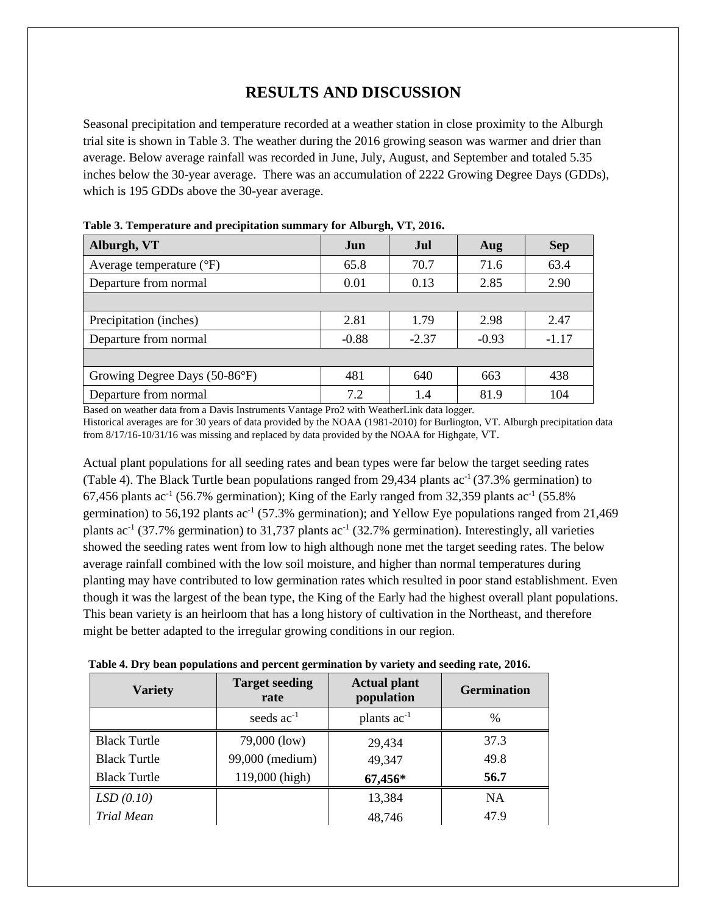## **RESULTS AND DISCUSSION**

Seasonal precipitation and temperature recorded at a weather station in close proximity to the Alburgh trial site is shown in Table 3. The weather during the 2016 growing season was warmer and drier than average. Below average rainfall was recorded in June, July, August, and September and totaled 5.35 inches below the 30-year average. There was an accumulation of 2222 Growing Degree Days (GDDs), which is 195 GDDs above the 30-year average.

| Alburgh, VT                       | Jun     | Jul          | Aug     | <b>Sep</b> |
|-----------------------------------|---------|--------------|---------|------------|
| Average temperature $(^{\circ}F)$ | 65.8    | 70.7         | 71.6    | 63.4       |
| Departure from normal             | 0.01    | 0.13<br>2.85 |         | 2.90       |
|                                   |         |              |         |            |
| Precipitation (inches)            | 2.81    | 1.79         | 2.98    | 2.47       |
| Departure from normal             | $-0.88$ | $-2.37$      | $-0.93$ | $-1.17$    |
|                                   |         |              |         |            |
| Growing Degree Days (50-86°F)     | 481     | 640          | 663     | 438        |
| Departure from normal             | 7.2     | 1.4          | 81.9    | 104        |

**Table 3. Temperature and precipitation summary for Alburgh, VT, 2016.**

Based on weather data from a Davis Instruments Vantage Pro2 with WeatherLink data logger. Historical averages are for 30 years of data provided by the NOAA (1981-2010) for Burlington, VT. Alburgh precipitation data from 8/17/16-10/31/16 was missing and replaced by data provided by the NOAA for Highgate, VT.

Actual plant populations for all seeding rates and bean types were far below the target seeding rates (Table 4). The Black Turtle bean populations ranged from 29,434 plants  $ac^{-1}(37.3\%$  germination) to 67,456 plants ac<sup>-1</sup> (56.7% germination); King of the Early ranged from 32,359 plants ac<sup>-1</sup> (55.8%) germination) to 56,192 plants  $ac^{-1}$  (57.3% germination); and Yellow Eye populations ranged from 21,469 plants ac<sup>-1</sup> (37.7% germination) to 31,737 plants ac<sup>-1</sup> (32.7% germination). Interestingly, all varieties showed the seeding rates went from low to high although none met the target seeding rates. The below average rainfall combined with the low soil moisture, and higher than normal temperatures during planting may have contributed to low germination rates which resulted in poor stand establishment. Even though it was the largest of the bean type, the King of the Early had the highest overall plant populations. This bean variety is an heirloom that has a long history of cultivation in the Northeast, and therefore might be better adapted to the irregular growing conditions in our region.

| Table 4. Dry bean populations and percent germination by variety and seeding rate, 2016. |  |  |  |
|------------------------------------------------------------------------------------------|--|--|--|
|                                                                                          |  |  |  |

| <b>Target seeding</b><br><b>Variety</b><br>rate |                 | <b>Actual plant</b><br>population | <b>Germination</b> |
|-------------------------------------------------|-----------------|-----------------------------------|--------------------|
|                                                 | seeds $ac^{-1}$ | plants $ac^{-1}$                  | $\%$               |
| <b>Black Turtle</b>                             | 79,000 (low)    | 29,434                            | 37.3               |
| <b>Black Turtle</b>                             | 99,000 (medium) | 49,347                            | 49.8               |
| <b>Black Turtle</b>                             | 119,000 (high)  | 67,456*                           | 56.7               |
| LSD(0.10)                                       |                 | 13,384                            | <b>NA</b>          |
| Trial Mean                                      |                 | 48,746                            | 47.9               |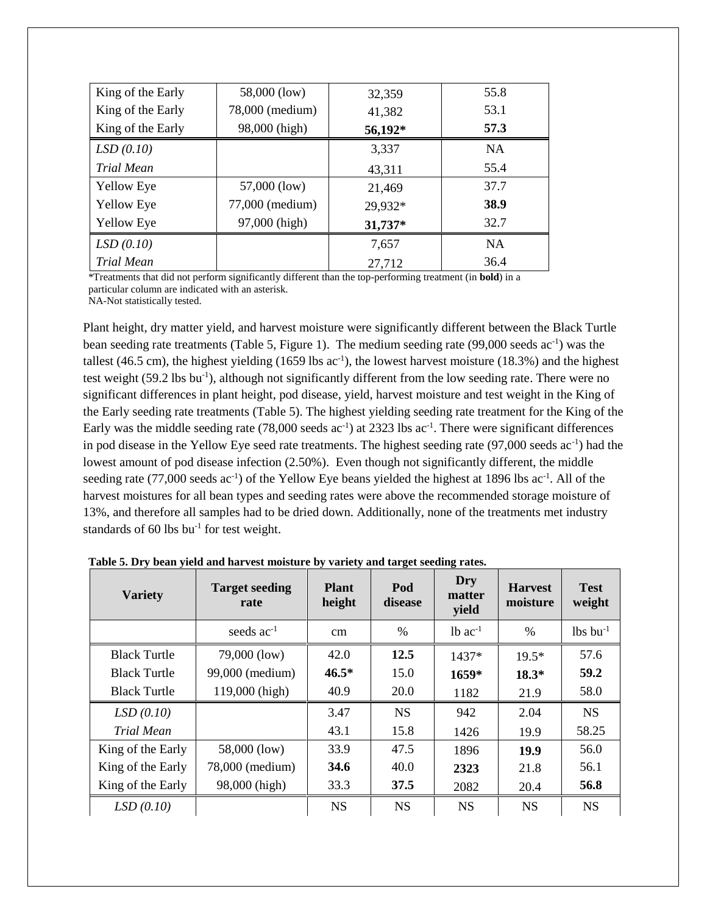| King of the Early | 58,000 (low)    | 32,359  | 55.8      |
|-------------------|-----------------|---------|-----------|
| King of the Early | 78,000 (medium) | 41,382  | 53.1      |
| King of the Early | 98,000 (high)   | 56,192* | 57.3      |
| LSD(0.10)         |                 | 3,337   | <b>NA</b> |
| Trial Mean        |                 | 43,311  | 55.4      |
| <b>Yellow Eye</b> | 57,000 (low)    | 21,469  | 37.7      |
| <b>Yellow Eye</b> | 77,000 (medium) | 29,932* | 38.9      |
| <b>Yellow Eye</b> | 97,000 (high)   | 31,737* | 32.7      |
| LSD(0.10)         |                 | 7,657   | <b>NA</b> |
| Trial Mean        |                 | 27,712  | 36.4      |

\*Treatments that did not perform significantly different than the top-performing treatment (in **bold**) in a particular column are indicated with an asterisk.

NA-Not statistically tested.

Plant height, dry matter yield, and harvest moisture were significantly different between the Black Turtle bean seeding rate treatments (Table 5, Figure 1). The medium seeding rate (99,000 seeds ac<sup>-1</sup>) was the tallest (46.5 cm), the highest yielding (1659 lbs  $ac^{-1}$ ), the lowest harvest moisture (18.3%) and the highest test weight (59.2 lbs bu<sup>-1</sup>), although not significantly different from the low seeding rate. There were no significant differences in plant height, pod disease, yield, harvest moisture and test weight in the King of the Early seeding rate treatments (Table 5). The highest yielding seeding rate treatment for the King of the Early was the middle seeding rate (78,000 seeds ac<sup>-1</sup>) at 2323 lbs ac<sup>-1</sup>. There were significant differences in pod disease in the Yellow Eye seed rate treatments. The highest seeding rate (97,000 seeds ac-1 ) had the lowest amount of pod disease infection (2.50%). Even though not significantly different, the middle seeding rate  $(77,000 \text{ seeds} \text{ ac}^{-1})$  of the Yellow Eye beans yielded the highest at 1896 lbs  $ac^{-1}$ . All of the harvest moistures for all bean types and seeding rates were above the recommended storage moisture of 13%, and therefore all samples had to be dried down. Additionally, none of the treatments met industry standards of 60 lbs  $bu^{-1}$  for test weight.

| <b>Variety</b>      | <b>Target seeding</b><br>rate | <b>Plant</b><br>height | Pod<br>disease | Dry<br>matter<br>yield | <b>Harvest</b><br>moisture | <b>Test</b><br>weight  |
|---------------------|-------------------------------|------------------------|----------------|------------------------|----------------------------|------------------------|
|                     | seeds $ac^{-1}$               | cm                     | $\%$           | $1b$ ac <sup>-1</sup>  | $\%$                       | $lbs$ bu <sup>-1</sup> |
| <b>Black Turtle</b> | 79,000 (low)                  | 42.0                   | 12.5           | $1437*$                | $19.5*$                    | 57.6                   |
| <b>Black Turtle</b> | 99,000 (medium)               | $46.5*$                | 15.0           | $1659*$                | $18.3*$                    | 59.2                   |
| <b>Black Turtle</b> | 119,000 (high)                | 40.9                   | 20.0           | 1182                   | 21.9                       | 58.0                   |
| LSD(0.10)           |                               | 3.47                   | <b>NS</b>      | 942                    | 2.04                       | <b>NS</b>              |
| Trial Mean          |                               | 43.1                   | 15.8           | 1426                   | 19.9                       | 58.25                  |
| King of the Early   | 58,000 (low)                  | 33.9                   | 47.5           | 1896                   | 19.9                       | 56.0                   |
| King of the Early   | 78,000 (medium)               | 34.6                   | 40.0           | 2323                   | 21.8                       | 56.1                   |
| King of the Early   | 98,000 (high)                 | 33.3                   | 37.5           | 2082                   | 20.4                       | 56.8                   |
| LSD(0.10)           |                               | <b>NS</b>              | <b>NS</b>      | <b>NS</b>              | <b>NS</b>                  | <b>NS</b>              |

**Table 5. Dry bean yield and harvest moisture by variety and target seeding rates.**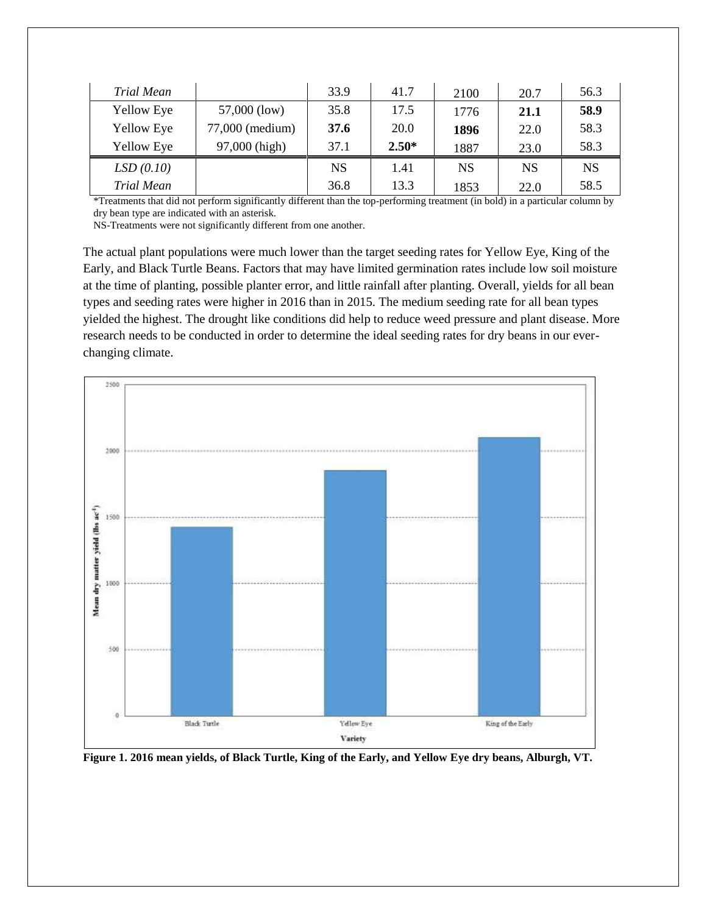| <b>Trial Mean</b> |                 | 33.9      | 41.7    | 2100      | 20.7      | 56.3      |
|-------------------|-----------------|-----------|---------|-----------|-----------|-----------|
| <b>Yellow Eye</b> | 57,000 (low)    | 35.8      | 17.5    | 1776      | 21.1      | 58.9      |
| Yellow Eye        | 77,000 (medium) | 37.6      | 20.0    | 1896      | 22.0      | 58.3      |
| Yellow Eye        | 97,000 (high)   | 37.1      | $2.50*$ | 1887      | 23.0      | 58.3      |
| LSD(0.10)         |                 | <b>NS</b> | 1.41    | <b>NS</b> | <b>NS</b> | <b>NS</b> |
| <b>Trial Mean</b> |                 | 36.8      | 13.3    | 1853      | 22.0      | 58.5      |

\*Treatments that did not perform significantly different than the top-performing treatment (in bold) in a particular column by dry bean type are indicated with an asterisk.

NS-Treatments were not significantly different from one another.

The actual plant populations were much lower than the target seeding rates for Yellow Eye, King of the Early, and Black Turtle Beans. Factors that may have limited germination rates include low soil moisture at the time of planting, possible planter error, and little rainfall after planting. Overall, yields for all bean types and seeding rates were higher in 2016 than in 2015. The medium seeding rate for all bean types yielded the highest. The drought like conditions did help to reduce weed pressure and plant disease. More research needs to be conducted in order to determine the ideal seeding rates for dry beans in our everchanging climate.



**Figure 1. 2016 mean yields, of Black Turtle, King of the Early, and Yellow Eye dry beans, Alburgh, VT.**